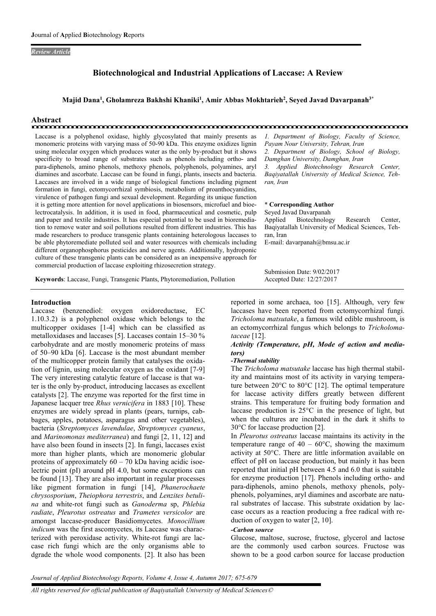#### *Review Article*

# Biotechnological and Industrial Applications of Laccase: A Review

Majid Dana<sup>1</sup>, Gholamreza Bakhshi Khaniki<sup>1</sup>, Amir Abbas Mokhtarieh<sup>2</sup>, Seyed Javad Davarpanah<sup>3\*</sup>

# Abstract

Laccase is a polyphenol oxidase, highly glycosylated that mainly presents as monomeric proteins with varying mass of 50-90 kDa. This enzyme oxidizes lignin using molecular oxygen which produces water as the only by-product but it shows specificity to broad range of substrates such as phenols including ortho- and para-diphenols, amino phenols, methoxy phenols, polyphenols, polyamines, aryl diamines and ascorbate. Laccase can be found in fungi, plants, insects and bacteria. Laccases are involved in a wide range of biological functions including pigment formation in fungi, ectomycorrhizal symbiosis, metabolism of proanthocyanidins, virulence of pathogen fungi and sexual development. Regarding its unique function it is getting more attention for novel applications in biosensors, microfuel and bioelectrocatalysis. In addition, it is used in food, pharmaceutical and cosmetic, pulp and paper and textile industries. It has especial potential to be used in bioremediation to remove water and soil pollutions resulted from different industries. This has made researchers to produce transgenic plants containing heterologous laccases to be able phytoremediate polluted soil and water resources with chemicals including different organophosphorus pesticides and nerve agents. Additionally, hydroponic culture of these transgenic plants can be considered as an inexpensive approach for commercial production of laccase exploiting rhizosecretion strategy.

Keywords: Laccase, Fungi, Transgenic Plants, Phytoremediation, Pollution

#### Introduction

Laccase (benzenediol: oxygen oxidoreductase, EC 1.10.3.2) is a polyphenol oxidase which belongs to the multicopper oxidases [1-4] which can be classified as metalloxidases and laccases [5]. Laccases contain 15–30 % carbohydrate and are mostly monomeric proteins of mass of 50–90 kDa [6]. Laccase is the most abundant member of the multicopper protein family that catalyses the oxidation of lignin, using molecular oxygen as the oxidant [7-9] The very interesting catalytic feature of laccase is that water is the only by-product, introducing laccases as excellent catalysts [2]. The enzyme was reported for the first time in Japanese lacquer tree *Rhus vernicifera* in 1883 [10]. These enzymes are widely spread in plants (pears, turnips, cabbages, apples, potatoes, asparagus and other vegetables), bacteria (*Streptomyces lavendulae*, *Streptomyces cyaneus*, and *Marinomonas mediterranea*) and fungi [2, 11, 12] and have also been found in insects [2]. In fungi, laccases exist more than higher plants, which are monomeric globular proteins of approximately  $60 - 70$  kDa having acidic isoelectric point (pI) around pH 4.0, but some exceptions can be found [13]. They are also important in regular processes like pigment formation in fungi [14], *Phanerochaete chrysosporium*, *Theiophora terrestris*, and *Lenzites betulina* and white-rot fungi such as *Ganoderma* sp, *Phlebia radiate*, *Pleurotus ostreatus* and *Trametes versicolor* are amongst laccase-producer Basidiomycetes. *Monocillium indicum* was the first ascomycetes, its Laccase was characterized with peroxidase activity. White-rot fungi are laccase rich fungi which are the only organisms able to dgrade the whole wood components. [2]. It also has been

*1. Department of Biology, Faculty of Science, Payam Nour University, Tehran, Iran 2. Department of Biology, School of Biology, Damghan University, Damghan, Iran 3. Applied Biotechnology Research Center, Baqiyatallah University of Medical Science, Tehran, Iran*

#### \* Corresponding Author

Seyed Javad Davarpanah Applied Biotechnology Research Center, Baqiyatallah University of Medical Sciences, Tehran, Iran E-mail: davarpanah@bmsu.ac.ir

Submission Date: 9/02/2017 Accepted Date: 12/27/2017

reported in some archaea, too [15]. Although, very few laccases have been reported from ectomycorrhizal fungi. *Tricholoma matsutake*, a famous wild edible mushroom, is an ectomycorrhizal fungus which belongs to *Tricholomataceae* [12].

#### *Activity (Temperature, pH, Mode of action and mediators)*

#### *-Thermal stability*

The *Tricholoma matsutake* laccase has high thermal stability and maintains most of its activity in varying temperature between 20°C to 80°C [12]. The optimal temperature for laccase activity differs greatly between different strains. This temperature for fruiting body formation and laccase production is 25°C in the presence of light, but when the cultures are incubated in the dark it shifts to 30°C for laccase production [2].

In *Pleurotus ostreatus* laccase maintains its activity in the temperature range of  $40 - 60^{\circ}$ C, showing the maximum activity at 50°C. There are little information available on effect of pH on laccase production, but mainly it has been reported that initial pH between 4.5 and 6.0 that is suitable for enzyme production [17]. Phenols including ortho- and para-diphenols, amino phenols, methoxy phenols, polyphenols, polyamines, aryl diamines and ascorbate are natural substrates of laccase. This substrate oxidation by laccase occurs as a reaction producing a free radical with reduction of oxygen to water [2, 10].

#### *-Carbon source*

Glucose, maltose, sucrose, fructose, glycerol and lactose are the commonly used carbon sources. Fructose was shown to be a good carbon source for laccase production

*Journal of Applied Biotechnology Reports, Volume 4, Issue 4, Autumn 2017; 675-679*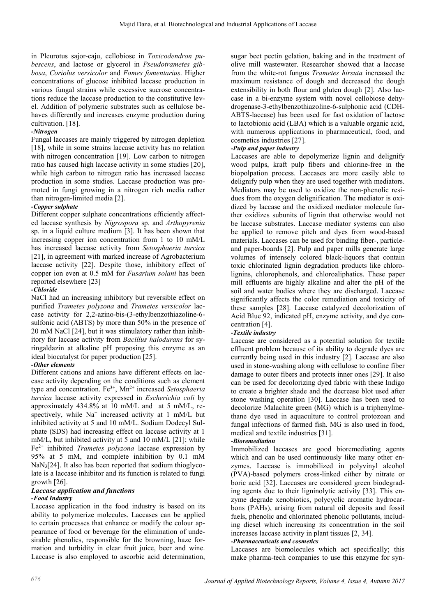in Pleurotus sajor-caju, cellobiose in *Toxicodendron pubescens*, and lactose or glycerol in *Pseudotrametes gibbosa*, *Coriolus versicolor* and *Fomes fomentarius*. Higher concentrations of glucose inhibited laccase production in various fungal strains while excessive sucrose concentrations reduce the laccase production to the constitutive level. Addition of polymeric substrates such as cellulose behaves differently and increases enzyme production during cultivation. [18].

## *-Nitrogen*

Fungal laccases are mainly triggered by nitrogen depletion [18], while in some strains laccase activity has no relation with nitrogen concentration [19]. Low carbon to nitrogen ratio has caused high laccase activity in some studies [20], while high carbon to nitrogen ratio has increased laccase production in some studies. Laccase production was promoted in fungi growing in a nitrogen rich media rather than nitrogen-limited media [2].

## *-Copper sulphate*

Different copper sulphate concentrations efficiently affected laccase synthesis by *Nigrospora* sp. and *Arthopyrenia* sp. in a liquid culture medium [3]. It has been shown that increasing copper ion concentration from 1 to 10 mM/L has increased laccase activity from *Setosphaeria turcica* [21], in agreement with marked increase of Agrobacterium laccase activity [22]. Despite those, inhibitory effect of copper ion even at 0.5 mM for *Fusarium solani* has been reported elsewhere [23]

## *-Chloride*

NaCl had an increasing inhibitory but reversible effect on purified *Trametes polyzona* and *Trametes versicolor* laccase activity for 2,2-azino-bis-(3-ethylbenzothiazoline-6 sulfonic acid (ABTS) by more than 50% in the presence of 20 mM NaCl [24], but it was stimulatory rather than inhibitory for laccase activity from *Bacillus halodurans* for syringaldazin at alkaline pH proposing this enzyme as an ideal biocatalyst for paper production [25].

## *-Other elements*

Different cations and anions have different effects on laccase activity depending on the conditions such as element type and concentration. Fe3+, Mn2+ increased *Setosphaeria turcica* laccase activity expressed in *Escherichia coli* by approximately 434.8% at 10 mM/L and at 5 mM/L, respectively, while  $Na^+$  increased activity at 1 mM/L but inhibited activity at 5 and 10 mM/L. Sodium Dodecyl Sulphate (SDS) had increasing effect on laccase activity at 1 mM/L, but inhibited activity at 5 and 10 mM/L [21]; while Fe2+ inhibited *Trametes polyzona* laccase expression by 95% at 5 mM, and complete inhibition by 0.1 mM NaN3[24]. It also has been reported that sodium thioglycolate is a laccase inhibitor and its function is related to fungi growth [26].

#### *Laccase application and functions -Food Industry*

Laccase application in the food industry is based on its ability to polymerize molecules. Laccases can be applied to certain processes that enhance or modify the colour appearance of food or beverage for the elimination of undesirable phenolics, responsible for the browning, haze formation and turbidity in clear fruit juice, beer and wine. Laccase is also employed to ascorbic acid determination,

sugar beet pectin gelation, baking and in the treatment of olive mill wastewater. Researcher showed that a laccase from the white-rot fungus *Trametes hirsuta* increased the maximum resistance of dough and decreased the dough extensibility in both flour and gluten dough [2]. Also laccase in a bi-enzyme system with novel cellobiose dehydrogenase-3-ethylbenzothiazoline-6-sulphonic acid (CDH-ABTS-laccase) has been used for fast oxidation of lactose to lactobionic acid (LBA) which is a valuable organic acid, with numerous applications in pharmaceutical, food, and cosmetics industries [27].

## *-Pulp and paper industry*

Laccases are able to depolymerize lignin and delignify wood pulps, kraft pulp fibers and chlorine-free in the biopolpation process. Laccases are more easily able to delignify pulp when they are used together with mediators. Mediators may be used to oxidize the non-phenolic residues from the oxygen delignification. The mediator is oxidized by laccase and the oxidized mediator molecule further oxidizes subunits of lignin that otherwise would not be laccase substrates. Laccase mediator systems can also be applied to remove pitch and dyes from wood-based materials. Laccases can be used for binding fiber-, particleand paper-boards [2]. Pulp and paper mills generate large volumes of intensely colored black-liquors that contain toxic chlorinated lignin degradation products like chlorolignins, chlorophenols, and chloroaliphatics. These paper mill effluents are highly alkaline and alter the pH of the soil and water bodies where they are discharged. Laccase significantly affects the color remediation and toxicity of these samples [28]. Laccase catalyzed decolorization of Acid Blue 92, indicated pH, enzyme activity, and dye concentration [4].

## *-Textile industry*

Laccase are considered as a potential solution for textile effluent problem because of its ability to degrade dyes are currently being used in this industry [2]. Laccase are also used in stone-washing along with cellulose to confine fiber damage to outer fibers and protects inner ones [29]. It also can be used for decolorizing dyed fabric with these Indigo to create a brighter shade and the decrease blot used after stone washing operation [30]. Laccase has been used to decolorize Malachite green (MG) which is a triphenylmethane dye used in aquaculture to control protozoan and fungal infections of farmed fish. MG is also used in food, medical and textile industries [31].

## *-Bioremediation*

Immobilized laccases are good bioremediating agents which and can be used continuously like many other enzymes. Laccase is immobilized in polyvinyl alcohol (PVA)-based polymers cross-linked either by nitrate or boric acid [32]. Laccases are considered green biodegrading agents due to their ligninolytic activity [33]. This enzyme degrade xenobiotics, polycyclic aromatic hydrocarbons (PAHs), arising from natural oil deposits and fossil fuels, phenolic and chlorinated phenolic pollutants, including diesel which increasing its concentration in the soil increases laccase activity in plant tissues [2, 34].

### *-Pharmaceuticals and cosmetics*

Laccases are biomolecules which act specifically; this make pharma-tech companies to use this enzyme for syn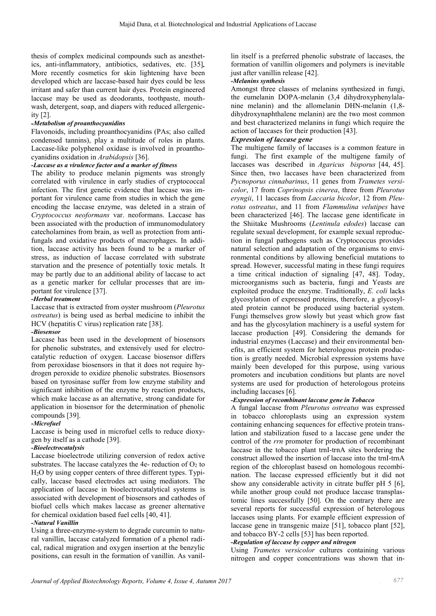thesis of complex medicinal compounds such as anesthetics, anti-inflammatory, antibiotics, sedatives, etc. [35]*.*  More recently cosmetics for skin lightening have been developed which are laccase-based hair dyes could be less irritant and safer than current hair dyes. Protein engineered laccase may be used as deodorants, toothpaste, mouthwash, detergent, soap, and diapers with reduced allergenicity [2].

### *-Metabolism of proanthocyanidins*

Flavonoids, including proanthocyanidins (PAs; also called condensed tannins), play a multitude of roles in plants. Laccase-like polyphenol oxidase is involved in proanthocyanidins oxidation in *Arabidopsis* [36].

#### *-Laccase as a virulence factor and a marker of fitness*

The ability to produce melanin pigments was strongly correlated with virulence in early studies of cryptococcal infection. The first genetic evidence that laccase was important for virulence came from studies in which the gene encoding the laccase enzyme, was deleted in a strain of *Cryptococcus neoformans* var. neoformans. Laccase has been associated with the production of immunomodulatory catecholamines from brain, as well as protection from antifungals and oxidative products of macrophages. In addition, laccase activity has been found to be a marker of stress, as induction of laccase correlated with substrate starvation and the presence of potentially toxic metals. It may be partly due to an additional ability of laccase to act as a genetic marker for cellular processes that are important for virulence [37].

### *-Herbal treatment*

Laccase that is extracted from oyster mushroom (*Pleurotus ostreatus*) is being used as herbal medicine to inhibit the HCV (hepatitis C virus) replication rate [38].

#### *-Biosensor*

Laccase has been used in the development of biosensors for phenolic substrates, and extensively used for electrocatalytic reduction of oxygen. Laccase biosensor differs from peroxidase biosensors in that it does not require hydrogen peroxide to oxidize phenolic substrates. Biosensors based on tyrosinase suffer from low enzyme stability and significant inhibition of the enzyme by reaction products, which make laccase as an alternative, strong candidate for application in biosensor for the determination of phenolic compounds [39].

#### *-Microfuel*

Laccase is being used in microfuel cells to reduce dioxygen by itself as a cathode [39].

#### *-Bioelectrocatalysis*

Laccase bioelectrode utilizing conversion of redox active substrates. The laccase catalyzes the 4e- reduction of  $O<sub>2</sub>$  to H2O by using copper centers of three different types. Typically, laccase based electrodes act using mediators. The application of laccase in bioelectrocatalytical systems is associated with development of biosensors and cathodes of biofuel cells which makes laccase as greener alternative for chemical oxidation based fuel cells [40, 41].

#### *-Natural Vanillin*

Using a three-enzyme-system to degrade curcumin to natural vanillin, laccase catalyzed formation of a phenol radical, radical migration and oxygen insertion at the benzylic positions, can result in the formation of vanillin. As vanil-

lin itself is a preferred phenolic substrate of laccases, the formation of vanillin oligomers and polymers is inevitable just after vanillin release [42].

### *-Melanins synthesis*

Amongst three classes of melanins synthesized in fungi, the eumelanin DOPA-melanin (3,4 dihydroxyphenylalanine melanin) and the allomelanin DHN-melanin (1,8 dihydroxynaphthalene melanin) are the two most common and best characterized melanins in fungi which require the action of laccases for their production [43].

## *Expression of laccase gene*

The multigene family of laccases is a common feature in fungi. The first example of the multigene family of laccases was described in *Agaricus bisporus* [44, 45]. Since then, two laccases have been characterized from *Pycnoporus cinnabarinus*, 11 genes from *Trametes versicolor*, 17 from *Coprinopsis cinerea*, three from *Pleurotus eryngii*, 11 laccases from *Laccaria bicolor*, 12 from *Pleurotus ostreatus*, and 11 from *Flammulina velutipes* have been characterized [46]. The laccase gene identificate in the Shiitake Mushrooms (*Lentinula edodes*) laccase can regulate sexual development, for example sexual reproduction in fungal pathogens such as Cryptococcus provides natural selection and adaptation of the organisms to environmental conditions by allowing beneficial mutations to spread. However, successful mating in these fungi requires a time critical induction of signaling [47, 48]. Today, microorganisms such as bacteria, fungi and Yeasts are exploited produce the enzyme. Traditionally, *E. coli* lacks glycosylation of expressed proteins, therefore, a glycosylated protein cannot be produced using bacterial system. Fungi themselves grow slowly but yeast which grow fast and has the glycosylation machinery is a useful system for laccase production [49]. Considering the demands for industrial enzymes (Laccase) and their environmental benefits, an efficient system for heterologous protein production is greatly needed. Microbial expression systems have mainly been developed for this purpose, using various promoters and incubation conditions but plants are novel systems are used for production of heterologous proteins including laccases [6].

#### *-Expression of recombinant laccase gene in Tobacco*

A fungal laccase from *Pleurotus ostreatus* was expressed in tobacco chloroplasts using an expression system containing enhancing sequences for effective protein translation and stabilization fused to a laccase gene under the control of the *rrn* promoter for production of recombinant laccase in the tobacco plant trnI-trnA sites bordering the construct allowed the insertion of laccase into the trnI-trnA region of the chloroplast basesd on homologous recombination. The laccase expressed efficiently but it did not show any considerable activity in citrate buffer pH 5 [6], while another group could not produce laccase transplastomic lines successfully [50]. On the contrary there are several reports for successful expression of heterologous laccases using plants. For example efficient expression of laccase gene in transgenic maize [51], tobacco plant [52], and tobacco BY-2 cells [53] has been reported.

## *-Regulation of laccase by copper and nitrogen*

Using *Trametes versicolor* cultures containing various nitrogen and copper concentrations was shown that in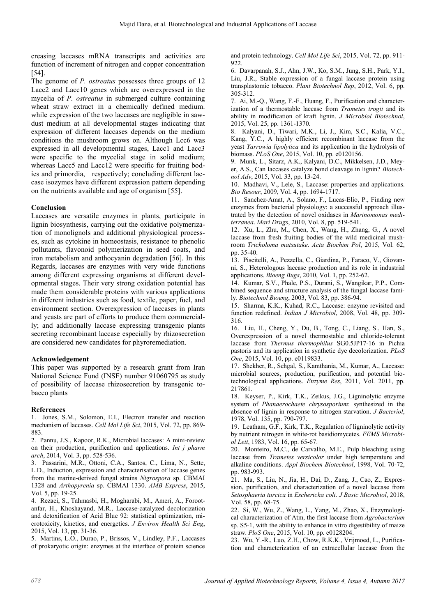creasing laccases mRNA transcripts and activities are function of increment of nitrogen and copper concentration [54].

The genome of *P. ostreatus* possesses three groups of 12 Lacc2 and Lacc10 genes which are overexpressed in the mycelia of *P. ostreatus* in submerged culture containing wheat straw extract in a chemically defined medium. while expression of the two laccases are negligible in sawdust medium at all developmental stages indicating that expression of different laccases depends on the medium conditions the mushroom grows on. Although Lcc6 was expressed in all developmental stages, Lacc1 and Lacc3 were specific to the mycelial stage in solid medium; whereas Lacc5 and Lacc12 were specific for fruiting bodies and primordia, respectively; concluding different laccase isozymes have different expression pattern depending on the nutrients available and age of organism [55].

## Conclusion

Laccases are versatile enzymes in plants, participate in lignin biosynthesis, carrying out the oxidative polymerization of monolignols and additional physiological processes, such as cytokine in homeostasis, resistance to phenolic pollutants, flavonoid polymerization in seed coats, and iron metabolism and anthocyanin degradation [56]. In this Regards, laccases are enzymes with very wide functions among different expressing organisms at different developmental stages. Their very strong oxidation potential has made them considerable proteins with various applications in different industries such as food, textile, paper, fuel, and environment section. Overexpression of laccases in plants and yeasts are part of efforts to produce them commercially; and additionally laccase expressing transgenic plants secreting recombinant laccase especially by rhizosecretion are considered new candidates for phyroremediation.

## Acknowledgement

This paper was supported by a research grant from Iran National Science Fund (INSF) number 91060795 as study of possibility of laccase rhizosecretion by transgenic tobacco plants

## References

1. Jones, S.M., Solomon, E.I., Electron transfer and reaction mechanism of laccases. *Cell Mol Life Sci*, 2015, Vol. 72, pp. 869- 883.

2. Pannu, J.S., Kapoor, R.K., Microbial laccases: A mini-review on their production, purification and applications. *Int j pharm arch*, 2014, Vol. 3, pp. 528-536.

3. Passarini, M.R., Ottoni, C.A., Santos, C., Lima, N., Sette, L.D., Induction, expression and characterisation of laccase genes from the marine-derived fungal strains *Nigrospora* sp. CBMAI 1328 and *Arthopyrenia* sp. CBMAI 1330. *AMB Express*, 2015, Vol. 5, pp. 19-25.

4. Rezaei, S., Tahmasbi, H., Mogharabi, M., Ameri, A., Forootanfar, H., Khoshayand, M.R., Laccase-catalyzed decolorization and detoxification of Acid Blue 92: statistical optimization, microtoxicity, kinetics, and energetics. *J Environ Health Sci Eng*, 2015, Vol. 13, pp. 31-36.

5. Martins, L.O., Durao, P., Brissos, V., Lindley, P.F., Laccases of prokaryotic origin: enzymes at the interface of protein science

and protein technology. *Cell Mol Life Sci*, 2015, Vol. 72, pp. 911-  $922$ 

6. Davarpanah, S.J., Ahn, J.W., Ko, S.M., Jung, S.H., Park, Y.I., Liu, J.R., Stable expression of a fungal laccase protein using transplastomic tobacco. *Plant Biotechnol Rep*, 2012, Vol. 6, pp. 305-312.

7. Ai, M.-Q., Wang, F.-F., Huang, F., Purification and characterization of a thermostable laccase from *Trametes trogii* and its ability in modification of kraft lignin. *J Microbiol Biotechnol*, 2015, Vol. 25, pp. 1361-1370.

8. Kalyani, D., Tiwari, M.K., Li, J., Kim, S.C., Kalia, V.C., Kang, Y.C., A highly efficient recombinant laccase from the yeast *Yarrowia lipolytica* and its application in the hydrolysis of biomass. *PLoS One*, 2015, Vol. 10, pp. e0120156.

9. Munk, L., Sitarz, A.K., Kalyani, D.C., Mikkelsen, J.D., Meyer, A.S., Can laccases catalyze bond cleavage in lignin? *Biotechnol Adv*, 2015, Vol. 33, pp. 13-24.

10. Madhavi, V., Lele, S., Laccase: properties and applications. *Bio Resour*, 2009, Vol. 4, pp. 1694-1717.

11. Sanchez-Amat, A., Solano, F., Lucas-Elío, P., Finding new enzymes from bacterial physiology: a successful approach illustrated by the detection of novel oxidases in *Marinomonas mediterranea*. *Mari Drugs*, 2010, Vol. 8, pp. 519-541.

12. Xu, L., Zhu, M., Chen, X., Wang, H., Zhang, G., A novel laccase from fresh fruiting bodies of the wild medicinal mushroom *Tricholoma matsutake*. *Acta Biochim Pol*, 2015, Vol. 62, pp. 35-40.

13. Piscitelli, A., Pezzella, C., Giardina, P., Faraco, V., Giovanni, S., Heterologous laccase production and its role in industrial applications. *Bioeng Bugs*, 2010, Vol. 1, pp. 252-62.

14. Kumar, S.V., Phale, P.S., Durani, S., Wangikar, P.P., Combined sequence and structure analysis of the fungal laccase family. *Biotechnol Bioeng*, 2003, Vol. 83, pp. 386-94.

15. Sharma, K.K., Kuhad, R.C., Laccase: enzyme revisited and function redefined. *Indian J Microbiol*, 2008, Vol. 48, pp. 309- 316.

16. Liu, H., Cheng, Y., Du, B., Tong, C., Liang, S., Han, S., Overexpression of a novel thermostable and chloride-tolerant laccase from *Thermus thermophilus* SG0.5JP17-16 in Pichia pastoris and its application in synthetic dye decolorization. *PLoS One*, 2015, Vol. 10, pp. e0119833.

17. Shekher, R., Sehgal, S., Kamthania, M., Kumar, A., Laccase: microbial sources, production, purification, and potential biotechnological applications. *Enzyme Res*, 2011, Vol. 2011, pp. 217861.

18. Keyser, P., Kirk, T.K., Zeikus, J.G., Ligninolytic enzyme system of *Phanaerochaete chrysosporium*: synthesized in the absence of lignin in response to nitrogen starvation. *J Bacteriol*, 1978, Vol. 135, pp. 790-797.

19. Leatham, G.F., Kirk, T.K., Regulation of ligninolytic activity by nutrient nitrogen in white-rot basidiomycetes. *FEMS Microbiol Lett*, 1983, Vol. 16, pp. 65-67.

20. Monteiro, M.C., de Carvalho, M.E., Pulp bleaching using laccase from *Trametes versicolor* under high temperature and alkaline conditions. *Appl Biochem Biotechnol*, 1998, Vol. 70-72, pp. 983-993.

21. Ma, S., Liu, N., Jia, H., Dai, D., Zang, J., Cao, Z., Expression, purification, and characterization of a novel laccase from *Setosphaeria turcica* in *Eschericha coli*. *J Basic Microbiol*, 2018, Vol. 58, pp. 68-75.

22. Si, W., Wu, Z., Wang, L., Yang, M., Zhao, X., Enzymological characterization of Atm, the first laccase from *Agrobacterium* sp. S5-1, with the ability to enhance in vitro digestibility of maize straw. *PloS One*, 2015, Vol. 10, pp. e0128204.

23. Wu, Y.-R., Luo, Z.H., Chow, R.K.K., Vrijmoed, L., Purification and characterization of an extracellular laccase from the